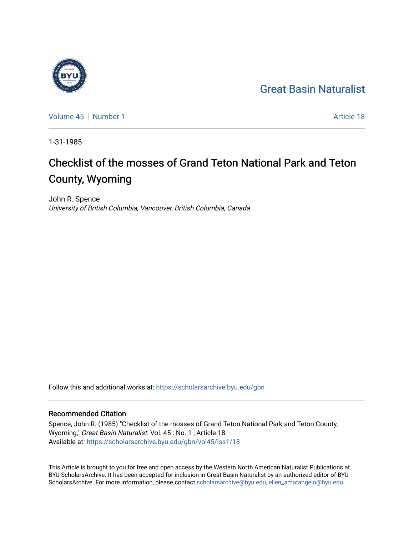## [Great Basin Naturalist](https://scholarsarchive.byu.edu/gbn)

[Volume 45](https://scholarsarchive.byu.edu/gbn/vol45) [Number 1](https://scholarsarchive.byu.edu/gbn/vol45/iss1) Article 18

1-31-1985

# Checklist of the mosses of Grand Teton National Park and Teton County, Wyoming

John R. Spence University of British Columbia, Vancouver, British Columbia, Canada

Follow this and additional works at: [https://scholarsarchive.byu.edu/gbn](https://scholarsarchive.byu.edu/gbn?utm_source=scholarsarchive.byu.edu%2Fgbn%2Fvol45%2Fiss1%2F18&utm_medium=PDF&utm_campaign=PDFCoverPages) 

### Recommended Citation

Spence, John R. (1985) "Checklist of the mosses of Grand Teton National Park and Teton County, Wyoming," Great Basin Naturalist: Vol. 45 : No. 1, Article 18. Available at: [https://scholarsarchive.byu.edu/gbn/vol45/iss1/18](https://scholarsarchive.byu.edu/gbn/vol45/iss1/18?utm_source=scholarsarchive.byu.edu%2Fgbn%2Fvol45%2Fiss1%2F18&utm_medium=PDF&utm_campaign=PDFCoverPages) 

This Article is brought to you for free and open access by the Western North American Naturalist Publications at BYU ScholarsArchive. It has been accepted for inclusion in Great Basin Naturalist by an authorized editor of BYU ScholarsArchive. For more information, please contact [scholarsarchive@byu.edu, ellen\\_amatangelo@byu.edu.](mailto:scholarsarchive@byu.edu,%20ellen_amatangelo@byu.edu)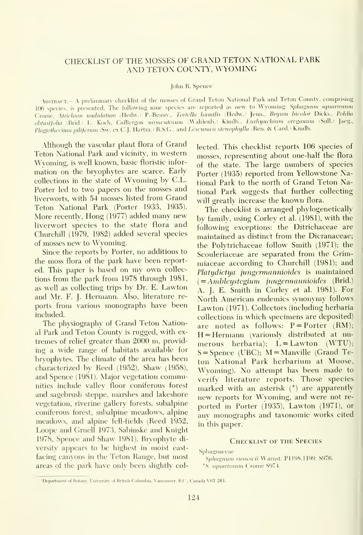#### CHECKLIST OF THE MOSSES OF GRAND TETON NATIONAL PARK AND TETON COUNTY, WYOMING

#### John R. Spence'

ABSTRACT.- A preliminary checklist of the mosses of Grand Teton National Park and Teton County, comprising 106 species, is presented. The following nine species are reported as new to Wyoming: Sphagnum squarrosum Crome, Atrichum undulatum (Hedw.) P.-Beauv., Tortella lumilis (Hedw.) Jenn., Bryum bicolor Dicks., Pohlia obtusifolia (Brid.) L. Koch. Calliergon sarmentosum (Wahlenb.) Kindb., Eurhynchium oreganum (Sull.) Jaeg., Plagiothecium piliferum (Sw. ex C.J. Hartm.) B.S.G., and Lescuraea stenophylla (Ren, & Card.) Kindb.

Although the vascular plant flora of Grand Teton National Park and vicinity, in western Wyoming, is well known, basic floristic infor mation on the bryophytes are scarce. Early collections in the state of Wyoming by C.L. Porter led to two papers on the mosses and liverworts, with 54 mosses listed from Grand Teton National Park (Porter 1933, 1935). More recently. Hong (1977) added many new liverwort species to the state flora and Churchill (1979, 1982) added several species of mosses new to Wyoming.

Since the reports by Porter, no additions to the moss flora of the park have been reported. This paper is based on my own collections from the park from 1978 through 1981, as well as collecting trips by Dr. E. Lawton and Mr. F. J. Hermann. Also, literature re ports from various monographs have been included.

The physiography of Grand Teton National Park and Teton County is rugged, with ex tremes of relief greater than 2000 m, providing a wide range of habitats available for brvophytes. The climate of the area has been characterized by Reed (1952), Shaw (1958), and Spence (1981). Major vegetation communities include valley floor coniferous forest and sagebrush steppe, marshes and lakeshore vegetation, riverine gallery forests, subalpine coniferous forest, subalpine meadows, alpine meadows, and alpine fell-fields (Reed 1952, Loope and Gruell 1973, Sabinske and Knight 1978, Spence and Shaw 1981). Bryophyte di versity appears to be highest in moist east-<br>Sphagnaeeae facing canyons in the Teton Range, but most areas of the park have only been slightly col-

lected. This checklist reports 106 species of mosses, representing about one-half the flora of the state. The large numbers of species Porter (1935) reported from Yellowstone National Park to the north of Grand Teton National Park suggests that further collecting will greatly increase the known flora.

The checklist is arranged phylogenetically by family, using Corley et al. (1981), with the following exceptions: the Ditrichaceae are maintained as distinct from the Dicranaceae; the Polytrichaceae follow Smith (1971); the Scouleriaceae are separated from the Grimmiaceae according to Churchill (1981); and Platydictya jungermannioides is maintained  $(=\!Ambleystegium-jungermannioides$  (Brid.) A. J. E. Smith in Corley et al. 1981). For North American endemics synonymy follows Lawton (1971). Collectors (including herbaria collections in which specimens are deposited) are noted as follows:  $P =$  Porter  $(RM)$ ;  $H = Hermann$  (variously distributed at numerous herbaria);  $L = Lawton$  (WTU);  $S =$ Spence (UBC); M = Manville (Grand Teton National Park herbarium at Moose, Wvoming). No attempt has been made to verify literature reports. Those species marked with an asterisk (<sup>o</sup>) are apparently new reports for Wyoming, and were not re ported in Porter (1935), Lawton (1971), or anv monographs and taxonomic works cited in this paper.

#### CHECKLIST OF THE SPECIES

Sphagnaeeae<br>- *Sphagnum russowii* Warnst, P1198,1199; S976. - - - -

<sup>o</sup>S. squarrosum Crome S974.

<sup>&#</sup>x27;Department of Botany, University of British Columbia, Vanconver, B.C., Canada V6T 2Bl.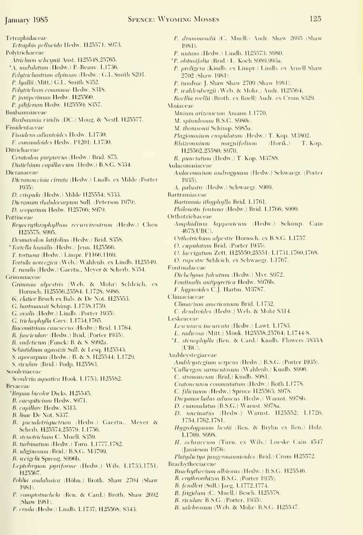Tetraphidaceae Tetraphis pellucida Hedw. H25571; S973, Polytrichaceae Atrichum selwynii Aust. H25548,25765. <sup>\*</sup>A. *undulatum* (Hedw.) P.-Beauv. L1736. Folytrichastrum alpinum (Hedw.) G.L.Smith S291. P. hyallii (Mitt.) G.L. Smith S352. Polytrichum commune Hedw. S318. P. juniperinum Hedw. H25560. P. piliferum Hedw. H25559; S357. Buxhaumiaceae Buxbaumia viridis (DC.) Moug. & Nestl. H25577. Fissidentaeeae Fissidens adiantoides Hedw. L1730. F. osmundoides Hedw. P1201; L1730. Ditrichaceae Ceratodon purpureus (Hedw.) Brid. S75. Distichium capillaceum (Hedw.) B.S.G. S334. Dieranaceae Dicranoweisia cirrata (Hedw.) Lindb. ex Milde (Porter 1935). D. crispula (Hedw.) Milde H25554; S333. Dicranum rhabdocarpum Sull. (Peterson 1979). /). sropariiim Hedw. H2576fi; S979. Pottiaceae Bryoerythrophyllum recurrirostrum (Hedw.) Chen H<sub>25575</sub>; S995. Desmatodon latifolius (Hedw.) Brid. S358. <sup>o</sup>Tortella humilis (Hedw.) Jenn. H25566. T. tortuosa (Hedw.) Limpr. P1166,1169. Tortula norvegica (Web.) Wahlenb. ex Lindb. H25549. T. ruralis (Hedw.) Gaertn., Meyer & Scherb. S354. Grimmiaceae Grimmia alpestris (Web. & Mohr) Schleich. ex Hornsch. H25556,25584; L1728; S986. G. elatior Bruch ex Bals. & De Not. H25553. G. hartmannii Schimp. L1738,1759. G. ovalis (Hedw.) Lindb. (Porter 1935). G. trichophylla Grev. L1734,1765. Racomitrium canescens (Hedw.) Brid. L1764. R. fasciculare (Hedw.) Brid. (Porter 1935). R. sudeticum (Funck) B. & S. S992a. Schistidium agassizii Sull. & Lesq. H25543. S. apocarpum (Hedw.) B. & S. H25544; L1729. S. rivuldir (Brid.) Podp. H255S3. Seouleriaceae Scouleria aquatica Hook. L1753; H25582. **Brvaceae** <sup>\*</sup>Bryum bicolor Dicks. H25545. B. caespiticium Hedw. S971. B. capillare Hedw. S313. B. lisae De Not. S337. B. pseudotriquetrum (Hedw.) Gaertn., Mever & Scherb. H25574,25579; L1756. B. stenotrichum C. Muell. S359. B. turbinatum (Hedw.) Turn. L1777,1782. B. uliginosum (Brid.) B.S.G. M3799. B. weigelii Spreng. S996b. Leptohryum pyriforme (Hedw.) Wils. L1733,1751; H25567. Pohlia andalusica (Höhn.) Broth. Shaw 2704 (Shaw 19811.

- P. camptotrachela (Ren. & Card.) Broth. Shaw 2692 (Shaw 1981).
- P. cruda (Hedw.) Lindb. L1737; H25568; S343.
- P. drummondii (C. Muell.) Andr. Shaw 2695 (Shaw 1981).
- P. nutans (Hedw.) Lindb. H25573; S980.
- "P. ohtusifolia (Brid.) L. Koch S989,993a.
- P. proligera (Kindb. ex Limpr.) Lindb. ex Arnell Shaw 2702 (Shaw 1981).
- P. tundrac J. Shaw Shaw 2709 (Shaw 1981).
- P. wahlenbergii (Web. & Mohr.) Andr. H25564.
- Roellia roellii (Broth. ex Roell) Andr. ex Crum S329.
- Mniaceae
	- Mnium arizonicum Amann L1770.
	- .\/. spinulo.snm B.S.G. S980e.
	- M. thonisonii Sehimp. S985a.
	- Plagiomnium cuspidatum (Hedw.) T. Kop. M3802.
	- Rhizomnium magnifolium (Horik.) T. Kop. H25562,25580; S970.
	- R. punctatum (Hedw.) T. Kop. M3788.
- Aulacomniaceac
	- Aulacomnium androgynum (Hedw.) Schwaegr. (Porter 19,35).
	- A. palustre (Hedw.) Schwaegr. S969,
- Bartramiaceae
	- Bartramia ithyphylla Brid. L1761.
	- Philonotis fontana (Hedw.) Brid. L1766; S999.
- Orthotriehaceae
	- Amphidium lapponicum (Hedw.) Schimp. Cain 4675(UBC).
	- Orthotrichum alpestre Hornsch. ex B.S.G. L1757.
	- O. cupulatum Brid. (Porter 1935).
	- O. lacvigatum Zett. H25550,25551; L1731,1760,1768.
	- O. rupestre Schleich. ex Schwaegr. L1767.
- Fontinalaceae
	- Dichelyma falcatum (Hedw.) Myr. S972.
	- Fontinalis antipyretica Hedw. S976b.
	- F. hypnoidea C.j. Hartm. M3787.
- Climaciaceae
	- Climacium americanum Brid. L1732.
	- C. dendroides (Hedw.) Web. & Mohr S314.
- Leskeaceae
	- Lescuraea incurvata (Hedw.) Lawt. L1783.
	- L. radicosa (Mitt.) Mönk. H25558,25764; L1744-8.
	- <sup>o</sup>L. stenophylla (Ren. & Card.) Kindb. Flowers 3833A (UBC).
- Ambleystegiaceae
	- Ambleystegium serpens (Hedv\'.) B.S.G. (Porter 1935).
- <sup>°</sup>Calliergon sarmentosum (Wahlenb.) Kindb. S996.
- C. stramineum (Brid.) Kindb. S981.
- Cratoncuron commutatum (Hedw.) Roth L1778.
- C. filicinum (Hedw.) Spruce H25563; S978.
- Drepanocladus aduncus (Hedw.) Warnst. S978b.
- D. exannulatus (B.S.G.) Warnst. S978a.
- D. uncinatus (Hedw.) Warnst. H25552; L1726, 1754,1762,1781.
- Hygrohypnum bestii (Ren. & Brvhn ex Ren.) Holz. L1769; S998.
- H. ochraceum (Turn. ex Wils.) Loeske Cain 4547 (Jamieson 1976).
- Platudictya jungermannioides (Brid.) Crum H25572.
- Brachytheciaceae
	- Brachuthecium albicans (Hedw.) B.S.G. H25546.
	- B. erythrorrhizon B.S.G. (Porter 1935).
	- B. fendleri (Sull.) Jaeg. L1772,1774.
	- B. frigidum (C. Muell.) Besch. H25578.
	- B. rivulare B.S.G. (Porter, 1935).
	- B. salebrosum (Web. & Mohr) B.S.G. H25547.